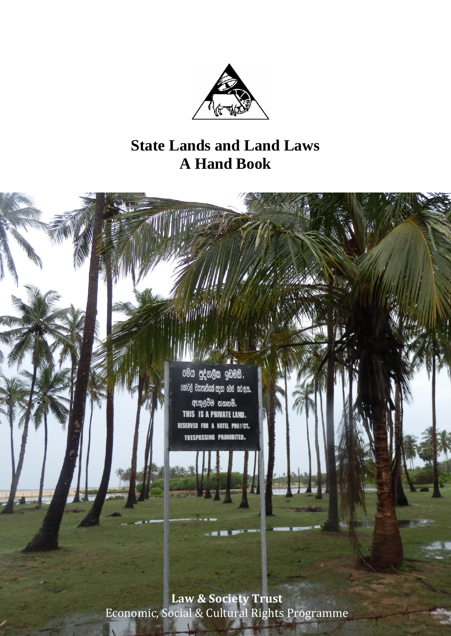

# **State Lands and Land Laws A Hand Book**



Economic, Social & Cultural Rights Programme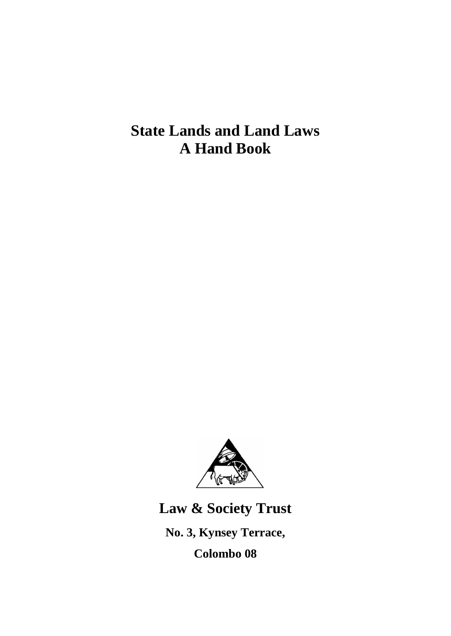**State Lands and Land Laws A Hand Book**



**Law & Society Trust No. 3, Kynsey Terrace, Colombo 08**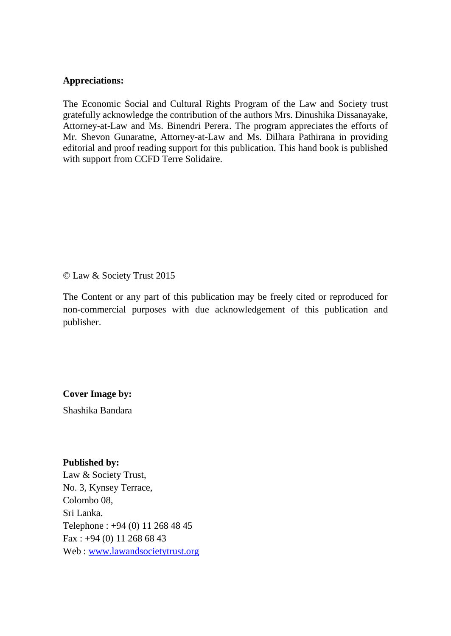#### **Appreciations:**

The Economic Social and Cultural Rights Program of the Law and Society trust gratefully acknowledge the contribution of the authors Mrs. Dinushika Dissanayake, Attorney-at-Law and Ms. Binendri Perera. The program appreciates the efforts of Mr. Shevon Gunaratne, Attorney-at-Law and Ms. Dilhara Pathirana in providing editorial and proof reading support for this publication. This hand book is published with support from CCFD Terre Solidaire.

© Law & Society Trust 2015

The Content or any part of this publication may be freely cited or reproduced for non-commercial purposes with due acknowledgement of this publication and publisher.

**Cover Image by:**

Shashika Bandara

#### **Published by:**

Law & Society Trust, No. 3, Kynsey Terrace, Colombo 08, Sri Lanka. Telephone : +94 (0) 11 268 48 45 Fax : +94 (0) 11 268 68 43 Web : [www.lawandsocietytrust.org](http://www.lawandsocietytrust.org/)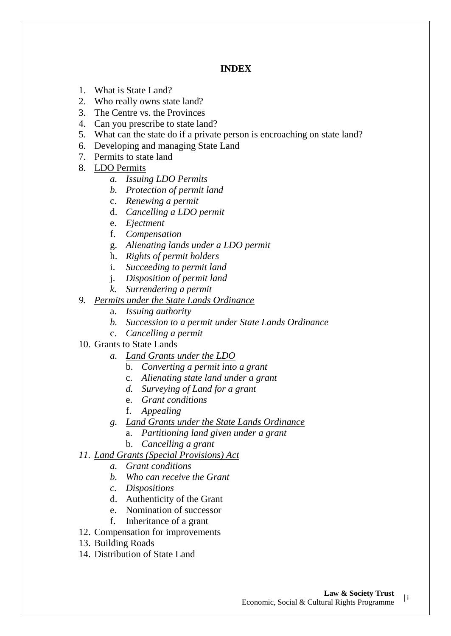#### **INDEX**

- 1. What is State Land?
- 2. Who really owns state land?
- 3. The Centre vs. the Provinces
- 4. Can you prescribe to state land?
- 5. What can the state do if a private person is encroaching on state land?
- 6. Developing and managing State Land
- 7. Permits to state land
- 8. LDO Permits
	- *a. Issuing LDO Permits*
	- *b. Protection of permit land*
	- c. *Renewing a permit*
	- d. *Cancelling a LDO permit*
	- e. *Ejectment*
	- f. *Compensation*
	- g. *Alienating lands under a LDO permit*
	- h. *Rights of permit holders*
	- i. *Succeeding to permit land*
	- j. *Disposition of permit land*
	- *k. Surrendering a permit*
- *9. Permits under the State Lands Ordinance* 
	- a. *Issuing authority*
	- *b. Succession to a permit under State Lands Ordinance*
	- c. *Cancelling a permit*
- 10. Grants to State Lands
	- *a. Land Grants under the LDO*
		- b. *Converting a permit into a grant*
		- c. *Alienating state land under a grant*
		- *d. Surveying of Land for a grant*
		- e. *Grant conditions*
		- f. *Appealing*
	- *g. Land Grants under the State Lands Ordinance* 
		- a. *Partitioning land given under a grant*
		- b. *Cancelling a grant*
- *11. Land Grants (Special Provisions) Act* 
	- *a. Grant conditions*
	- *b. Who can receive the Grant*
	- *c. Dispositions*
	- d. Authenticity of the Grant
	- e. Nomination of successor
	- f. Inheritance of a grant
- 12. Compensation for improvements
- 13. Building Roads
- 14. Distribution of State Land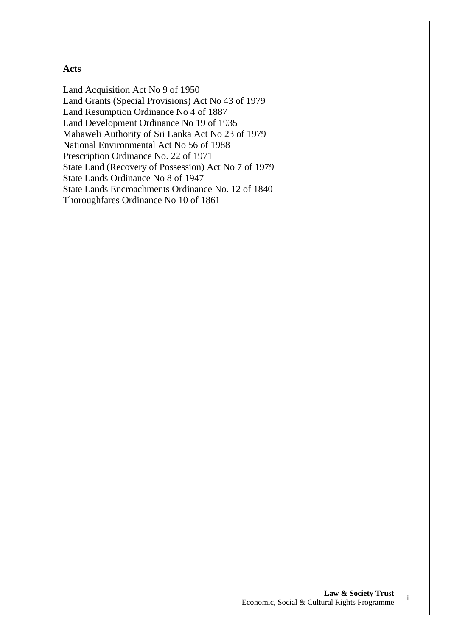## **Acts**

Land Acquisition Act No 9 of 1950 Land Grants (Special Provisions) Act No 43 of 1979 Land Resumption Ordinance No 4 of 1887 Land Development Ordinance No 19 of 1935 Mahaweli Authority of Sri Lanka Act No 23 of 1979 National Environmental Act No 56 of 1988 Prescription Ordinance No. 22 of 1971 State Land (Recovery of Possession) Act No 7 of 1979 State Lands Ordinance No 8 of 1947 State Lands Encroachments Ordinance No. 12 of 1840 Thoroughfares Ordinance No 10 of 1861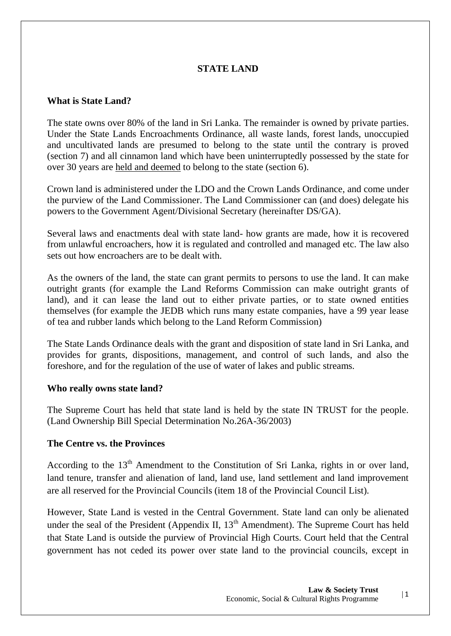## **STATE LAND**

## **What is State Land?**

The state owns over 80% of the land in Sri Lanka. The remainder is owned by private parties. Under the State Lands Encroachments Ordinance, all waste lands, forest lands, unoccupied and uncultivated lands are presumed to belong to the state until the contrary is proved (section 7) and all cinnamon land which have been uninterruptedly possessed by the state for over 30 years are held and deemed to belong to the state (section 6).

Crown land is administered under the LDO and the Crown Lands Ordinance, and come under the purview of the Land Commissioner. The Land Commissioner can (and does) delegate his powers to the Government Agent/Divisional Secretary (hereinafter DS/GA).

Several laws and enactments deal with state land- how grants are made, how it is recovered from unlawful encroachers, how it is regulated and controlled and managed etc. The law also sets out how encroachers are to be dealt with.

As the owners of the land, the state can grant permits to persons to use the land. It can make outright grants (for example the Land Reforms Commission can make outright grants of land), and it can lease the land out to either private parties, or to state owned entities themselves (for example the JEDB which runs many estate companies, have a 99 year lease of tea and rubber lands which belong to the Land Reform Commission)

The State Lands Ordinance deals with the grant and disposition of state land in Sri Lanka, and provides for grants, dispositions, management, and control of such lands, and also the foreshore, and for the regulation of the use of water of lakes and public streams.

## **Who really owns state land?**

The Supreme Court has held that state land is held by the state IN TRUST for the people. (Land Ownership Bill Special Determination No.26A-36/2003)

## **The Centre vs. the Provinces**

According to the 13<sup>th</sup> Amendment to the Constitution of Sri Lanka, rights in or over land, land tenure, transfer and alienation of land, land use, land settlement and land improvement are all reserved for the Provincial Councils (item 18 of the Provincial Council List).

However, State Land is vested in the Central Government. State land can only be alienated under the seal of the President (Appendix II,  $13<sup>th</sup>$  Amendment). The Supreme Court has held that State Land is outside the purview of Provincial High Courts. Court held that the Central government has not ceded its power over state land to the provincial councils, except in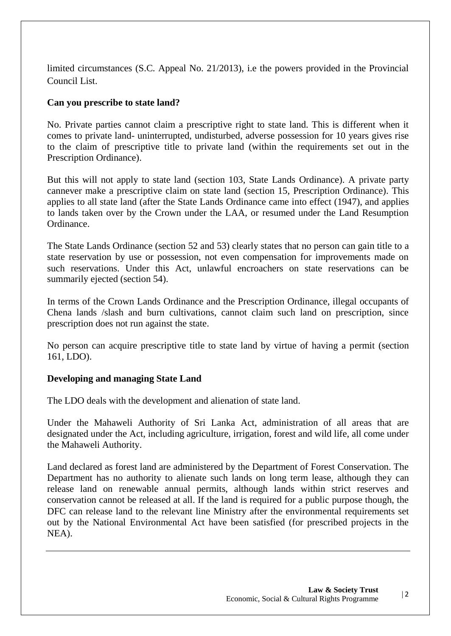limited circumstances (S.C. Appeal No. 21/2013), i.e the powers provided in the Provincial Council List.

## **Can you prescribe to state land?**

No. Private parties cannot claim a prescriptive right to state land. This is different when it comes to private land- uninterrupted, undisturbed, adverse possession for 10 years gives rise to the claim of prescriptive title to private land (within the requirements set out in the Prescription Ordinance).

But this will not apply to state land (section 103, State Lands Ordinance). A private party cannever make a prescriptive claim on state land (section 15, Prescription Ordinance). This applies to all state land (after the State Lands Ordinance came into effect (1947), and applies to lands taken over by the Crown under the LAA, or resumed under the Land Resumption Ordinance.

The State Lands Ordinance (section 52 and 53) clearly states that no person can gain title to a state reservation by use or possession, not even compensation for improvements made on such reservations. Under this Act, unlawful encroachers on state reservations can be summarily ejected (section 54).

In terms of the Crown Lands Ordinance and the Prescription Ordinance, illegal occupants of Chena lands /slash and burn cultivations, cannot claim such land on prescription, since prescription does not run against the state.

No person can acquire prescriptive title to state land by virtue of having a permit (section 161, LDO).

## **Developing and managing State Land**

The LDO deals with the development and alienation of state land.

Under the Mahaweli Authority of Sri Lanka Act, administration of all areas that are designated under the Act, including agriculture, irrigation, forest and wild life, all come under the Mahaweli Authority.

Land declared as forest land are administered by the Department of Forest Conservation. The Department has no authority to alienate such lands on long term lease, although they can release land on renewable annual permits, although lands within strict reserves and conservation cannot be released at all. If the land is required for a public purpose though, the DFC can release land to the relevant line Ministry after the environmental requirements set out by the National Environmental Act have been satisfied (for prescribed projects in the NEA).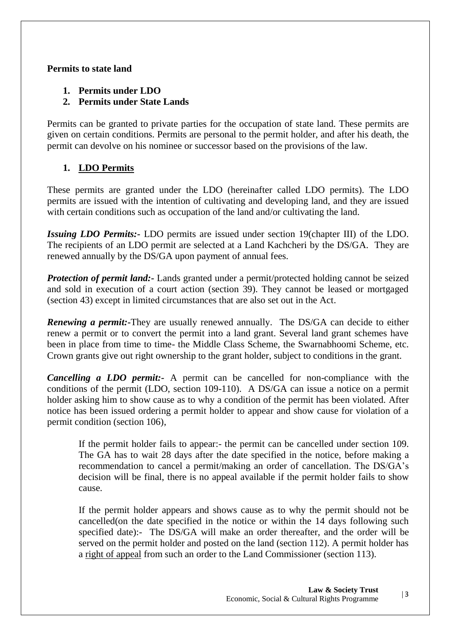## **Permits to state land**

**1. Permits under LDO**

## **2. Permits under State Lands**

Permits can be granted to private parties for the occupation of state land. These permits are given on certain conditions. Permits are personal to the permit holder, and after his death, the permit can devolve on his nominee or successor based on the provisions of the law.

# **1. LDO Permits**

These permits are granted under the LDO (hereinafter called LDO permits). The LDO permits are issued with the intention of cultivating and developing land, and they are issued with certain conditions such as occupation of the land and/or cultivating the land.

*Issuing LDO Permits:-* LDO permits are issued under section 19(chapter III) of the LDO. The recipients of an LDO permit are selected at a Land Kachcheri by the DS/GA. They are renewed annually by the DS/GA upon payment of annual fees.

*Protection of permit land:-* Lands granted under a permit/protected holding cannot be seized and sold in execution of a court action (section 39). They cannot be leased or mortgaged (section 43) except in limited circumstances that are also set out in the Act.

*Renewing a permit:*-They are usually renewed annually. The DS/GA can decide to either renew a permit or to convert the permit into a land grant. Several land grant schemes have been in place from time to time- the Middle Class Scheme, the Swarnabhoomi Scheme, etc. Crown grants give out right ownership to the grant holder, subject to conditions in the grant.

*Cancelling a LDO permit:-* A permit can be cancelled for non-compliance with the conditions of the permit (LDO, section 109-110). A DS/GA can issue a notice on a permit holder asking him to show cause as to why a condition of the permit has been violated. After notice has been issued ordering a permit holder to appear and show cause for violation of a permit condition (section 106),

If the permit holder fails to appear:- the permit can be cancelled under section 109. The GA has to wait 28 days after the date specified in the notice, before making a recommendation to cancel a permit/making an order of cancellation. The DS/GA's decision will be final, there is no appeal available if the permit holder fails to show cause.

If the permit holder appears and shows cause as to why the permit should not be cancelled(on the date specified in the notice or within the 14 days following such specified date):- The DS/GA will make an order thereafter, and the order will be served on the permit holder and posted on the land (section 112). A permit holder has a right of appeal from such an order to the Land Commissioner (section 113).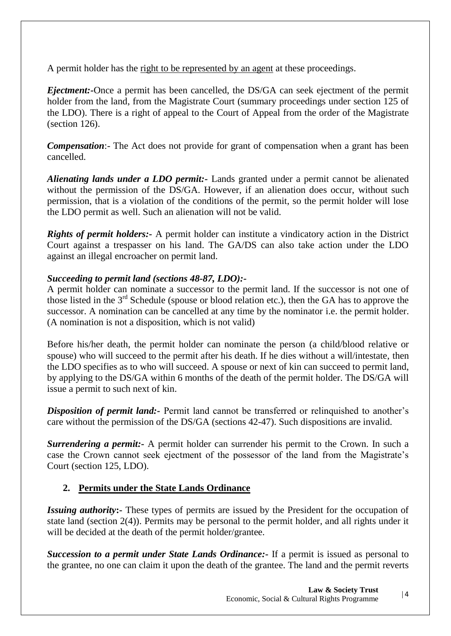A permit holder has the right to be represented by an agent at these proceedings.

*Ejectment:-*Once a permit has been cancelled, the DS/GA can seek ejectment of the permit holder from the land, from the Magistrate Court (summary proceedings under section 125 of the LDO). There is a right of appeal to the Court of Appeal from the order of the Magistrate (section 126).

*Compensation*:- The Act does not provide for grant of compensation when a grant has been cancelled.

*Alienating lands under a LDO permit:-* Lands granted under a permit cannot be alienated without the permission of the DS/GA. However, if an alienation does occur, without such permission, that is a violation of the conditions of the permit, so the permit holder will lose the LDO permit as well. Such an alienation will not be valid.

*Rights of permit holders:-* A permit holder can institute a vindicatory action in the District Court against a trespasser on his land. The GA/DS can also take action under the LDO against an illegal encroacher on permit land.

## *Succeeding to permit land (sections 48-87, LDO):-*

A permit holder can nominate a successor to the permit land. If the successor is not one of those listed in the 3rd Schedule (spouse or blood relation etc.), then the GA has to approve the successor. A nomination can be cancelled at any time by the nominator i.e. the permit holder. (A nomination is not a disposition, which is not valid)

Before his/her death, the permit holder can nominate the person (a child/blood relative or spouse) who will succeed to the permit after his death. If he dies without a will/intestate, then the LDO specifies as to who will succeed. A spouse or next of kin can succeed to permit land, by applying to the DS/GA within 6 months of the death of the permit holder. The DS/GA will issue a permit to such next of kin.

*Disposition of permit land:-* Permit land cannot be transferred or relinquished to another's care without the permission of the DS/GA (sections 42-47). Such dispositions are invalid.

*Surrendering a permit:*- A permit holder can surrender his permit to the Crown. In such a case the Crown cannot seek ejectment of the possessor of the land from the Magistrate's Court (section 125, LDO).

## **2. Permits under the State Lands Ordinance**

*Issuing authority***:-** These types of permits are issued by the President for the occupation of state land (section 2(4)). Permits may be personal to the permit holder, and all rights under it will be decided at the death of the permit holder/grantee.

*Succession to a permit under State Lands Ordinance:***-** If a permit is issued as personal to the grantee, no one can claim it upon the death of the grantee. The land and the permit reverts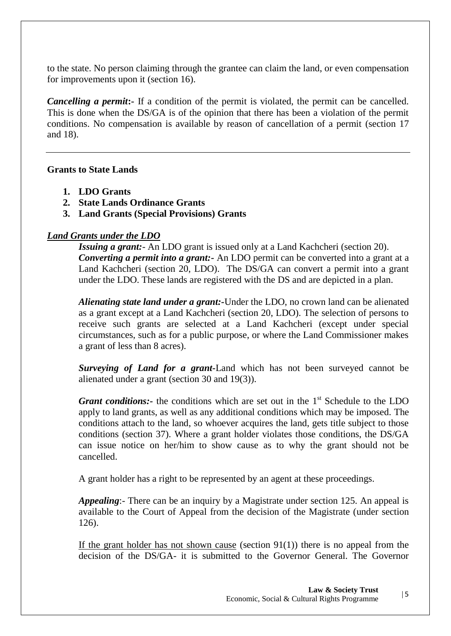to the state. No person claiming through the grantee can claim the land, or even compensation for improvements upon it (section 16).

*Cancelling a permit***:** If a condition of the permit is violated, the permit can be cancelled. This is done when the DS/GA is of the opinion that there has been a violation of the permit conditions. No compensation is available by reason of cancellation of a permit (section 17 and 18).

#### **Grants to State Lands**

- **1. LDO Grants**
- **2. State Lands Ordinance Grants**
- **3. Land Grants (Special Provisions) Grants**

## *Land Grants under the LDO*

*Issuing a grant:*- An LDO grant is issued only at a Land Kachcheri (section 20). *Converting a permit into a grant:-* An LDO permit can be converted into a grant at a Land Kachcheri (section 20, LDO). The DS/GA can convert a permit into a grant under the LDO. These lands are registered with the DS and are depicted in a plan.

*Alienating state land under a grant:-*Under the LDO, no crown land can be alienated as a grant except at a Land Kachcheri (section 20, LDO). The selection of persons to receive such grants are selected at a Land Kachcheri (except under special circumstances, such as for a public purpose, or where the Land Commissioner makes a grant of less than 8 acres).

*Surveying of Land for a grant-*Land which has not been surveyed cannot be alienated under a grant (section 30 and 19(3)).

*Grant conditions:*- the conditions which are set out in the 1<sup>st</sup> Schedule to the LDO apply to land grants, as well as any additional conditions which may be imposed. The conditions attach to the land, so whoever acquires the land, gets title subject to those conditions (section 37). Where a grant holder violates those conditions, the DS/GA can issue notice on her/him to show cause as to why the grant should not be cancelled.

A grant holder has a right to be represented by an agent at these proceedings.

*Appealing*:- There can be an inquiry by a Magistrate under section 125. An appeal is available to the Court of Appeal from the decision of the Magistrate (under section 126).

If the grant holder has not shown cause (section  $91(1)$ ) there is no appeal from the decision of the DS/GA- it is submitted to the Governor General. The Governor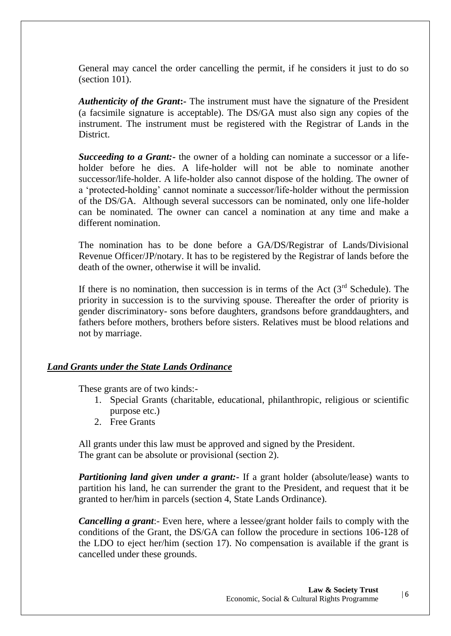General may cancel the order cancelling the permit, if he considers it just to do so (section 101).

*Authenticity of the Grant***:-** The instrument must have the signature of the President (a facsimile signature is acceptable). The DS/GA must also sign any copies of the instrument. The instrument must be registered with the Registrar of Lands in the District.

*Succeeding to a Grant:-* the owner of a holding can nominate a successor or a lifeholder before he dies. A life-holder will not be able to nominate another successor/life-holder. A life-holder also cannot dispose of the holding. The owner of a 'protected-holding' cannot nominate a successor/life-holder without the permission of the DS/GA. Although several successors can be nominated, only one life-holder can be nominated. The owner can cancel a nomination at any time and make a different nomination.

The nomination has to be done before a GA/DS/Registrar of Lands/Divisional Revenue Officer/JP/notary. It has to be registered by the Registrar of lands before the death of the owner, otherwise it will be invalid.

If there is no nomination, then succession is in terms of the Act  $(3<sup>rd</sup>$  Schedule). The priority in succession is to the surviving spouse. Thereafter the order of priority is gender discriminatory- sons before daughters, grandsons before granddaughters, and fathers before mothers, brothers before sisters. Relatives must be blood relations and not by marriage.

## *Land Grants under the State Lands Ordinance*

These grants are of two kinds:-

- 1. Special Grants (charitable, educational, philanthropic, religious or scientific purpose etc.)
- 2. Free Grants

All grants under this law must be approved and signed by the President. The grant can be absolute or provisional (section 2).

*Partitioning land given under a grant:*- If a grant holder (absolute/lease) wants to partition his land, he can surrender the grant to the President, and request that it be granted to her/him in parcels (section 4, State Lands Ordinance).

*Cancelling a grant*:- Even here, where a lessee/grant holder fails to comply with the conditions of the Grant, the DS/GA can follow the procedure in sections 106-128 of the LDO to eject her/him (section 17). No compensation is available if the grant is cancelled under these grounds.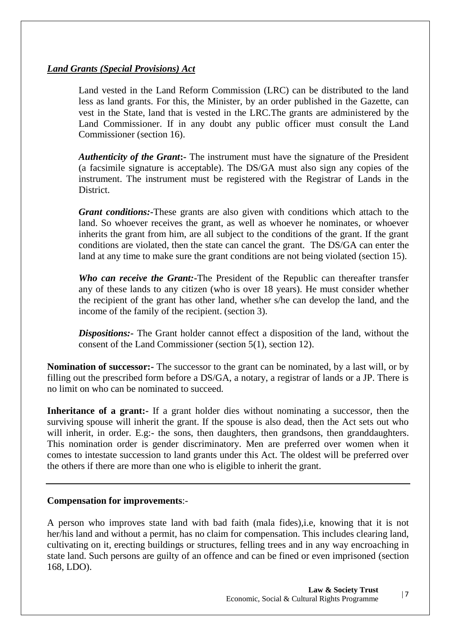## *Land Grants (Special Provisions) Act*

Land vested in the Land Reform Commission (LRC) can be distributed to the land less as land grants. For this, the Minister, by an order published in the Gazette, can vest in the State, land that is vested in the LRC.The grants are administered by the Land Commissioner. If in any doubt any public officer must consult the Land Commissioner (section 16).

*Authenticity of the Grant***:-** The instrument must have the signature of the President (a facsimile signature is acceptable). The DS/GA must also sign any copies of the instrument. The instrument must be registered with the Registrar of Lands in the **District** 

*Grant conditions:-*These grants are also given with conditions which attach to the land. So whoever receives the grant, as well as whoever he nominates, or whoever inherits the grant from him, are all subject to the conditions of the grant. If the grant conditions are violated, then the state can cancel the grant. The DS/GA can enter the land at any time to make sure the grant conditions are not being violated (section 15).

*Who can receive the Grant:-*The President of the Republic can thereafter transfer any of these lands to any citizen (who is over 18 years). He must consider whether the recipient of the grant has other land, whether s/he can develop the land, and the income of the family of the recipient. (section 3).

*Dispositions:-* The Grant holder cannot effect a disposition of the land, without the consent of the Land Commissioner (section 5(1), section 12).

**Nomination of successor:-** The successor to the grant can be nominated, by a last will, or by filling out the prescribed form before a DS/GA, a notary, a registrar of lands or a JP. There is no limit on who can be nominated to succeed.

**Inheritance of a grant:-** If a grant holder dies without nominating a successor, then the surviving spouse will inherit the grant. If the spouse is also dead, then the Act sets out who will inherit, in order. E.g:- the sons, then daughters, then grandsons, then granddaughters. This nomination order is gender discriminatory. Men are preferred over women when it comes to intestate succession to land grants under this Act. The oldest will be preferred over the others if there are more than one who is eligible to inherit the grant.

## **Compensation for improvements**:-

A person who improves state land with bad faith (mala fides),i.e, knowing that it is not her/his land and without a permit, has no claim for compensation. This includes clearing land, cultivating on it, erecting buildings or structures, felling trees and in any way encroaching in state land. Such persons are guilty of an offence and can be fined or even imprisoned (section 168, LDO).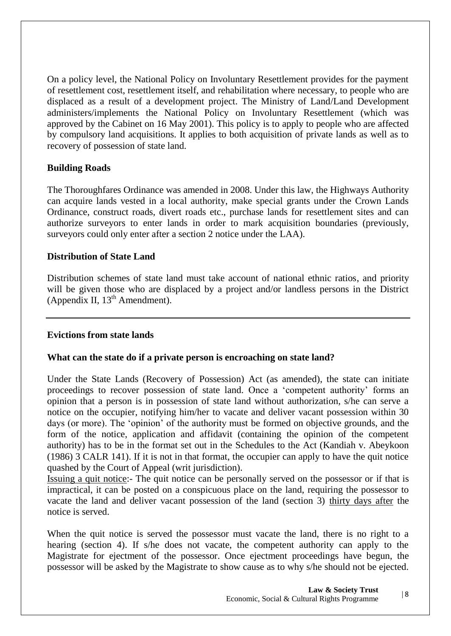On a policy level, the National Policy on Involuntary Resettlement provides for the payment of resettlement cost, resettlement itself, and rehabilitation where necessary, to people who are displaced as a result of a development project. The Ministry of Land/Land Development administers/implements the National Policy on Involuntary Resettlement (which was approved by the Cabinet on 16 May 2001). This policy is to apply to people who are affected by compulsory land acquisitions. It applies to both acquisition of private lands as well as to recovery of possession of state land.

## **Building Roads**

The Thoroughfares Ordinance was amended in 2008. Under this law, the Highways Authority can acquire lands vested in a local authority, make special grants under the Crown Lands Ordinance, construct roads, divert roads etc., purchase lands for resettlement sites and can authorize surveyors to enter lands in order to mark acquisition boundaries (previously, surveyors could only enter after a section 2 notice under the LAA).

## **Distribution of State Land**

Distribution schemes of state land must take account of national ethnic ratios, and priority will be given those who are displaced by a project and/or landless persons in the District (Appendix II,  $13<sup>th</sup>$  Amendment).

## **Evictions from state lands**

## **What can the state do if a private person is encroaching on state land?**

Under the State Lands (Recovery of Possession) Act (as amended), the state can initiate proceedings to recover possession of state land. Once a 'competent authority' forms an opinion that a person is in possession of state land without authorization, s/he can serve a notice on the occupier, notifying him/her to vacate and deliver vacant possession within 30 days (or more). The 'opinion' of the authority must be formed on objective grounds, and the form of the notice, application and affidavit (containing the opinion of the competent authority) has to be in the format set out in the Schedules to the Act (Kandiah v. Abeykoon (1986) 3 CALR 141). If it is not in that format, the occupier can apply to have the quit notice quashed by the Court of Appeal (writ jurisdiction).

Issuing a quit notice:- The quit notice can be personally served on the possessor or if that is impractical, it can be posted on a conspicuous place on the land, requiring the possessor to vacate the land and deliver vacant possession of the land (section 3) thirty days after the notice is served.

When the quit notice is served the possessor must vacate the land, there is no right to a hearing (section 4). If s/he does not vacate, the competent authority can apply to the Magistrate for ejectment of the possessor. Once ejectment proceedings have begun, the possessor will be asked by the Magistrate to show cause as to why s/he should not be ejected.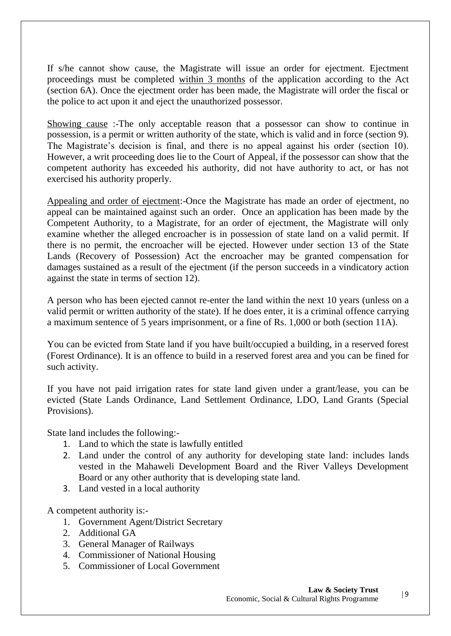If s/he cannot show cause, the Magistrate will issue an order for ejectment. Ejectment proceedings must be completed within 3 months of the application according to the Act (section 6A). Once the ejectment order has been made, the Magistrate will order the fiscal or the police to act upon it and eject the unauthorized possessor.

Showing cause :-The only acceptable reason that a possessor can show to continue in possession, is a permit or written authority of the state, which is valid and in force (section 9). The Magistrate's decision is final, and there is no appeal against his order (section 10). However, a writ proceeding does lie to the Court of Appeal, if the possessor can show that the competent authority has exceeded his authority, did not have authority to act, or has not exercised his authority properly.

Appealing and order of ejectment:-Once the Magistrate has made an order of ejectment, no appeal can be maintained against such an order. Once an application has been made by the Competent Authority, to a Magistrate, for an order of ejectment, the Magistrate will only examine whether the alleged encroacher is in possession of state land on a valid permit. If there is no permit, the encroacher will be ejected. However under section 13 of the State Lands (Recovery of Possession) Act the encroacher may be granted compensation for damages sustained as a result of the ejectment (if the person succeeds in a vindicatory action against the state in terms of section 12).

A person who has been ejected cannot re-enter the land within the next 10 years (unless on a valid permit or written authority of the state). If he does enter, it is a criminal offence carrying a maximum sentence of 5 years imprisonment, or a fine of Rs. 1,000 or both (section 11A).

You can be evicted from State land if you have built/occupied a building, in a reserved forest (Forest Ordinance). It is an offence to build in a reserved forest area and you can be fined for such activity.

If you have not paid irrigation rates for state land given under a grant/lease, you can be evicted (State Lands Ordinance, Land Settlement Ordinance, LDO, Land Grants (Special Provisions).

State land includes the following:-

- 1. Land to which the state is lawfully entitled
- 2. Land under the control of any authority for developing state land: includes lands vested in the Mahaweli Development Board and the River Valleys Development Board or any other authority that is developing state land.
- 3. Land vested in a local authority

A competent authority is:-

- 1. Government Agent/District Secretary
- 2. Additional GA
- 3. General Manager of Railways
- 4. Commissioner of National Housing
- 5. Commissioner of Local Government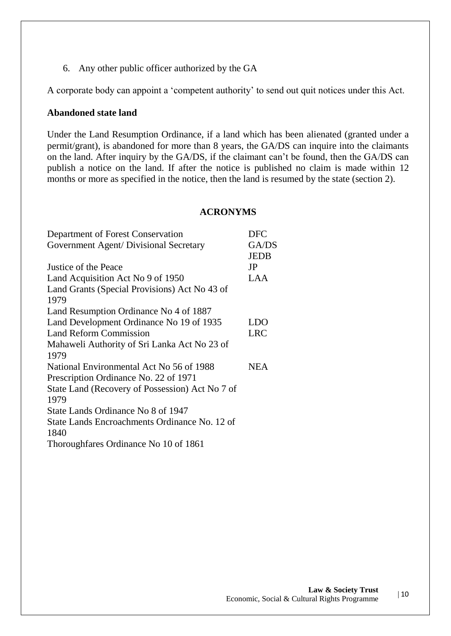6. Any other public officer authorized by the GA

A corporate body can appoint a 'competent authority' to send out quit notices under this Act.

#### **Abandoned state land**

Under the Land Resumption Ordinance, if a land which has been alienated (granted under a permit/grant), is abandoned for more than 8 years, the GA/DS can inquire into the claimants on the land. After inquiry by the GA/DS, if the claimant can't be found, then the GA/DS can publish a notice on the land. If after the notice is published no claim is made within 12 months or more as specified in the notice, then the land is resumed by the state (section 2).

#### **ACRONYMS**

| Department of Forest Conservation               | <b>DFC</b>  |
|-------------------------------------------------|-------------|
| Government Agent/ Divisional Secretary          | GA/DS       |
|                                                 | <b>JEDB</b> |
| Justice of the Peace                            | JP          |
| Land Acquisition Act No 9 of 1950               | LAA         |
| Land Grants (Special Provisions) Act No 43 of   |             |
| 1979                                            |             |
| Land Resumption Ordinance No 4 of 1887          |             |
| Land Development Ordinance No 19 of 1935        | LDO         |
| Land Reform Commission                          | <b>LRC</b>  |
| Mahaweli Authority of Sri Lanka Act No 23 of    |             |
| 1979                                            |             |
| National Environmental Act No 56 of 1988        | <b>NEA</b>  |
| Prescription Ordinance No. 22 of 1971           |             |
| State Land (Recovery of Possession) Act No 7 of |             |
| 1979                                            |             |
| State Lands Ordinance No 8 of 1947              |             |
| State Lands Encroachments Ordinance No. 12 of   |             |
| 1840                                            |             |
| Thoroughfares Ordinance No 10 of 1861           |             |